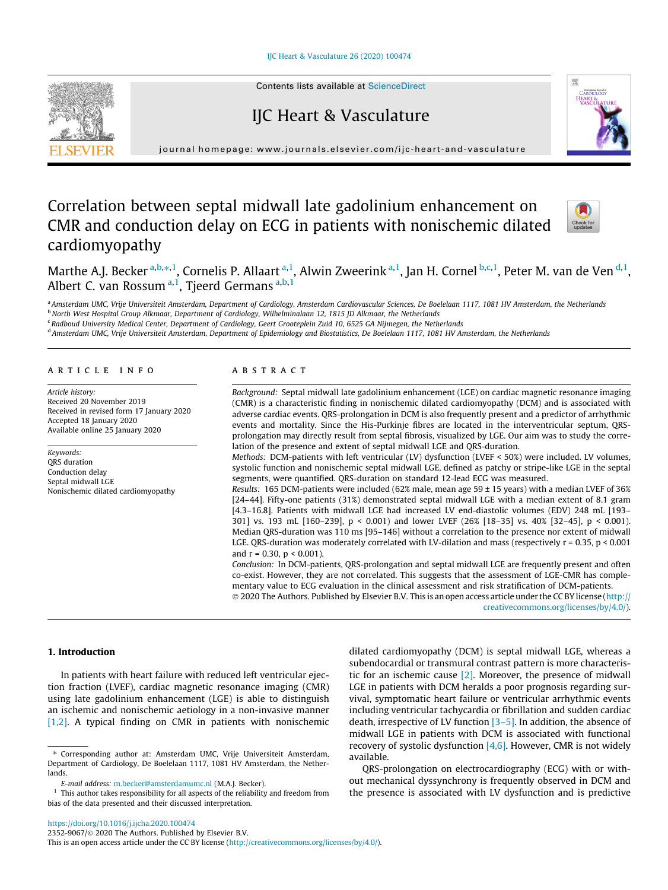## [IJC Heart & Vasculature 26 \(2020\) 100474](https://doi.org/10.1016/j.ijcha.2020.100474)



Contents lists available at [ScienceDirect](http://www.sciencedirect.com/science/journal/23529067)

# IJC Heart & Vasculature



journal homepage: [www.journals.elsevier.com/ijc-heart-and-vasculature](http://www.journals.elsevier.com/ijc-heart-and-vasculature)

# Correlation between septal midwall late gadolinium enhancement on CMR and conduction delay on ECG in patients with nonischemic dilated cardiomyopathy



Marthe A.J. Becker <sup>a,b,</sup>\*,<sup>1</sup>, Cornelis P. Allaart <sup>a,1</sup>, Alwin Zweerink <sup>a,1</sup>, Jan H. Cornel <sup>b,c,1</sup>, Peter M. van de Ven <sup>d,1</sup>, Albert C. van Rossum<sup>a,1</sup>, Tjeerd Germans<sup>a,b,1</sup>

a Amsterdam UMC, Vrije Universiteit Amsterdam, Department of Cardiology, Amsterdam Cardiovascular Sciences, De Boelelaan 1117, 1081 HV Amsterdam, the Netherlands b North West Hospital Group Alkmaar, Department of Cardiology, Wilhelminalaan 12, 1815 JD Alkmaar, the Netherlands

<sup>c</sup> Radboud University Medical Center, Department of Cardiology, Geert Grooteplein Zuid 10, 6525 GA Nijmegen, the Netherlands

<sup>d</sup> Amsterdam UMC, Vrije Universiteit Amsterdam, Department of Epidemiology and Biostatistics, De Boelelaan 1117, 1081 HV Amsterdam, the Netherlands

## article info

Article history: Received 20 November 2019 Received in revised form 17 January 2020 Accepted 18 January 2020 Available online 25 January 2020

Keywords: QRS duration Conduction delay Septal midwall LGE Nonischemic dilated cardiomyopathy

# ABSTRACT

Background: Septal midwall late gadolinium enhancement (LGE) on cardiac magnetic resonance imaging (CMR) is a characteristic finding in nonischemic dilated cardiomyopathy (DCM) and is associated with adverse cardiac events. QRS-prolongation in DCM is also frequently present and a predictor of arrhythmic events and mortality. Since the His-Purkinje fibres are located in the interventricular septum, QRSprolongation may directly result from septal fibrosis, visualized by LGE. Our aim was to study the correlation of the presence and extent of septal midwall LGE and QRS-duration.

Methods: DCM-patients with left ventricular (LV) dysfunction (LVEF < 50%) were included. LV volumes, systolic function and nonischemic septal midwall LGE, defined as patchy or stripe-like LGE in the septal segments, were quantified. QRS-duration on standard 12-lead ECG was measured.

Results: 165 DCM-patients were included (62% male, mean age 59 ± 15 years) with a median LVEF of 36% [24–44]. Fifty-one patients (31%) demonstrated septal midwall LGE with a median extent of 8.1 gram [4.3–16.8]. Patients with midwall LGE had increased LV end-diastolic volumes (EDV) 248 mL [193– 301] vs. 193 mL [160–239], p < 0.001) and lower LVEF (26% [18–35] vs. 40% [32–45], p < 0.001). Median QRS-duration was 110 ms [95–146] without a correlation to the presence nor extent of midwall LGE. QRS-duration was moderately correlated with LV-dilation and mass (respectively  $r = 0.35$ ,  $p < 0.001$ ) and  $r = 0.30$ ,  $p < 0.001$ ).

Conclusion: In DCM-patients, QRS-prolongation and septal midwall LGE are frequently present and often co-exist. However, they are not correlated. This suggests that the assessment of LGE-CMR has complementary value to ECG evaluation in the clinical assessment and risk stratification of DCM-patients. 2020 The Authors. Published by Elsevier B.V. This is an open access article under the CC BY license ([http://](http://creativecommons.org/licenses/by/4.0/)

[creativecommons.org/licenses/by/4.0/](http://creativecommons.org/licenses/by/4.0/)).

# 1. Introduction

In patients with heart failure with reduced left ventricular ejection fraction (LVEF), cardiac magnetic resonance imaging (CMR) using late gadolinium enhancement (LGE) is able to distinguish an ischemic and nonischemic aetiology in a non-invasive manner [\[1,2\].](#page-4-0) A typical finding on CMR in patients with nonischemic dilated cardiomyopathy (DCM) is septal midwall LGE, whereas a subendocardial or transmural contrast pattern is more characteristic for an ischemic cause  $[2]$ . Moreover, the presence of midwall LGE in patients with DCM heralds a poor prognosis regarding survival, symptomatic heart failure or ventricular arrhythmic events including ventricular tachycardia or fibrillation and sudden cardiac death, irrespective of LV function [\[3–5\].](#page-5-0) In addition, the absence of midwall LGE in patients with DCM is associated with functional recovery of systolic dysfunction  $[4,6]$ . However, CMR is not widely available.

QRS-prolongation on electrocardiography (ECG) with or without mechanical dyssynchrony is frequently observed in DCM and the presence is associated with LV dysfunction and is predictive

<sup>⇑</sup> Corresponding author at: Amsterdam UMC, Vrije Universiteit Amsterdam, Department of Cardiology, De Boelelaan 1117, 1081 HV Amsterdam, the Netherlands.

E-mail address: [m.becker@amsterdamumc.nl](mailto:m.becker@amsterdamumc.nl) (M.A.J. Becker).

 $1$  This author takes responsibility for all aspects of the reliability and freedom from bias of the data presented and their discussed interpretation.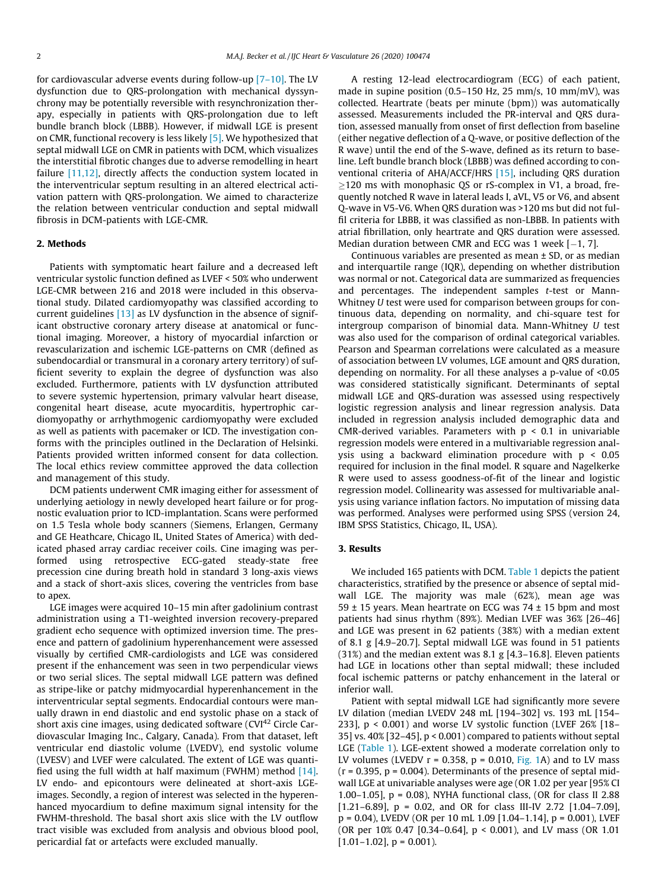for cardiovascular adverse events during follow-up [\[7–10\]](#page-5-0). The LV dysfunction due to QRS-prolongation with mechanical dyssynchrony may be potentially reversible with resynchronization therapy, especially in patients with QRS-prolongation due to left bundle branch block (LBBB). However, if midwall LGE is present on CMR, functional recovery is less likely [\[5\].](#page-5-0) We hypothesized that septal midwall LGE on CMR in patients with DCM, which visualizes the interstitial fibrotic changes due to adverse remodelling in heart failure [\[11,12\],](#page-5-0) directly affects the conduction system located in the interventricular septum resulting in an altered electrical activation pattern with QRS-prolongation. We aimed to characterize the relation between ventricular conduction and septal midwall fibrosis in DCM-patients with LGE-CMR.

## 2. Methods

Patients with symptomatic heart failure and a decreased left ventricular systolic function defined as LVEF < 50% who underwent LGE-CMR between 216 and 2018 were included in this observational study. Dilated cardiomyopathy was classified according to current guidelines [\[13\]](#page-5-0) as LV dysfunction in the absence of significant obstructive coronary artery disease at anatomical or functional imaging. Moreover, a history of myocardial infarction or revascularization and ischemic LGE-patterns on CMR (defined as subendocardial or transmural in a coronary artery territory) of sufficient severity to explain the degree of dysfunction was also excluded. Furthermore, patients with LV dysfunction attributed to severe systemic hypertension, primary valvular heart disease, congenital heart disease, acute myocarditis, hypertrophic cardiomyopathy or arrhythmogenic cardiomyopathy were excluded as well as patients with pacemaker or ICD. The investigation conforms with the principles outlined in the Declaration of Helsinki. Patients provided written informed consent for data collection. The local ethics review committee approved the data collection and management of this study.

DCM patients underwent CMR imaging either for assessment of underlying aetiology in newly developed heart failure or for prognostic evaluation prior to ICD-implantation. Scans were performed on 1.5 Tesla whole body scanners (Siemens, Erlangen, Germany and GE Heathcare, Chicago IL, United States of America) with dedicated phased array cardiac receiver coils. Cine imaging was performed using retrospective ECG-gated steady-state free precession cine during breath hold in standard 3 long-axis views and a stack of short-axis slices, covering the ventricles from base to apex.

LGE images were acquired 10–15 min after gadolinium contrast administration using a T1-weighted inversion recovery-prepared gradient echo sequence with optimized inversion time. The presence and pattern of gadolinium hyperenhancement were assessed visually by certified CMR-cardiologists and LGE was considered present if the enhancement was seen in two perpendicular views or two serial slices. The septal midwall LGE pattern was defined as stripe-like or patchy midmyocardial hyperenhancement in the interventricular septal segments. Endocardial contours were manually drawn in end diastolic and end systolic phase on a stack of short axis cine images, using dedicated software (CVI<sup>42</sup> Circle Cardiovascular Imaging Inc., Calgary, Canada). From that dataset, left ventricular end diastolic volume (LVEDV), end systolic volume (LVESV) and LVEF were calculated. The extent of LGE was quantified using the full width at half maximum (FWHM) method [\[14\].](#page-5-0) LV endo- and epicontours were delineated at short-axis LGEimages. Secondly, a region of interest was selected in the hyperenhanced myocardium to define maximum signal intensity for the FWHM-threshold. The basal short axis slice with the LV outflow tract visible was excluded from analysis and obvious blood pool, pericardial fat or artefacts were excluded manually.

A resting 12-lead electrocardiogram (ECG) of each patient, made in supine position (0.5–150 Hz, 25 mm/s, 10 mm/mV), was collected. Heartrate (beats per minute (bpm)) was automatically assessed. Measurements included the PR-interval and QRS duration, assessed manually from onset of first deflection from baseline (either negative deflection of a Q-wave, or positive deflection of the R wave) until the end of the S-wave, defined as its return to baseline. Left bundle branch block (LBBB) was defined according to conventional criteria of AHA/ACCF/HRS [\[15\],](#page-5-0) including QRS duration  $\geq$ 120 ms with monophasic QS or rS-complex in V1, a broad, frequently notched R wave in lateral leads I, aVL, V5 or V6, and absent Q-wave in V5-V6. When QRS duration was >120 ms but did not fulfil criteria for LBBB, it was classified as non-LBBB. In patients with atrial fibrillation, only heartrate and QRS duration were assessed. Median duration between CMR and ECG was 1 week  $[-1, 7]$ .

Continuous variables are presented as mean ± SD, or as median and interquartile range (IQR), depending on whether distribution was normal or not. Categorical data are summarized as frequencies and percentages. The independent samples t-test or Mann-Whitney U test were used for comparison between groups for continuous data, depending on normality, and chi-square test for intergroup comparison of binomial data. Mann-Whitney U test was also used for the comparison of ordinal categorical variables. Pearson and Spearman correlations were calculated as a measure of association between LV volumes, LGE amount and QRS duration, depending on normality. For all these analyses a p-value of <0.05 was considered statistically significant. Determinants of septal midwall LGE and QRS-duration was assessed using respectively logistic regression analysis and linear regression analysis. Data included in regression analysis included demographic data and CMR-derived variables. Parameters with  $p < 0.1$  in univariable regression models were entered in a multivariable regression analysis using a backward elimination procedure with p < 0.05 required for inclusion in the final model. R square and Nagelkerke R were used to assess goodness-of-fit of the linear and logistic regression model. Collinearity was assessed for multivariable analysis using variance inflation factors. No imputation of missing data was performed. Analyses were performed using SPSS (version 24, IBM SPSS Statistics, Chicago, IL, USA).

## 3. Results

We included 165 patients with DCM. [Table 1](#page-2-0) depicts the patient characteristics, stratified by the presence or absence of septal midwall LGE. The majority was male (62%), mean age was 59  $\pm$  15 years. Mean heartrate on ECG was 74  $\pm$  15 bpm and most patients had sinus rhythm (89%). Median LVEF was 36% [26–46] and LGE was present in 62 patients (38%) with a median extent of 8.1 g [4.9–20.7]. Septal midwall LGE was found in 51 patients (31%) and the median extent was 8.1 g [4.3–16.8]. Eleven patients had LGE in locations other than septal midwall; these included focal ischemic patterns or patchy enhancement in the lateral or inferior wall.

Patient with septal midwall LGE had significantly more severe LV dilation (median LVEDV 248 mL [194–302] vs. 193 mL [154– 233], p < 0.001) and worse LV systolic function (LVEF 26% [18– 35] vs. 40% [32–45], p < 0.001) compared to patients without septal LGE [\(Table 1](#page-2-0)). LGE-extent showed a moderate correlation only to LV volumes (LVEDV  $r = 0.358$ ,  $p = 0.010$ , [Fig. 1](#page-2-0)A) and to LV mass  $(r = 0.395, p = 0.004)$ . Determinants of the presence of septal midwall LGE at univariable analyses were age (OR 1.02 per year [95% CI 1.00–1.05], p = 0.08), NYHA functional class, (OR for class II 2.88 [1.21–6.89],  $p = 0.02$ , and OR for class III-IV 2.72 [1.04–7.09],  $p = 0.04$ ), LVEDV (OR per 10 mL 1.09 [1.04–1.14],  $p = 0.001$ ), LVEF (OR per 10% 0.47 [0.34–0.64], p < 0.001), and LV mass (OR 1.01  $[1.01-1.02]$ , p = 0.001).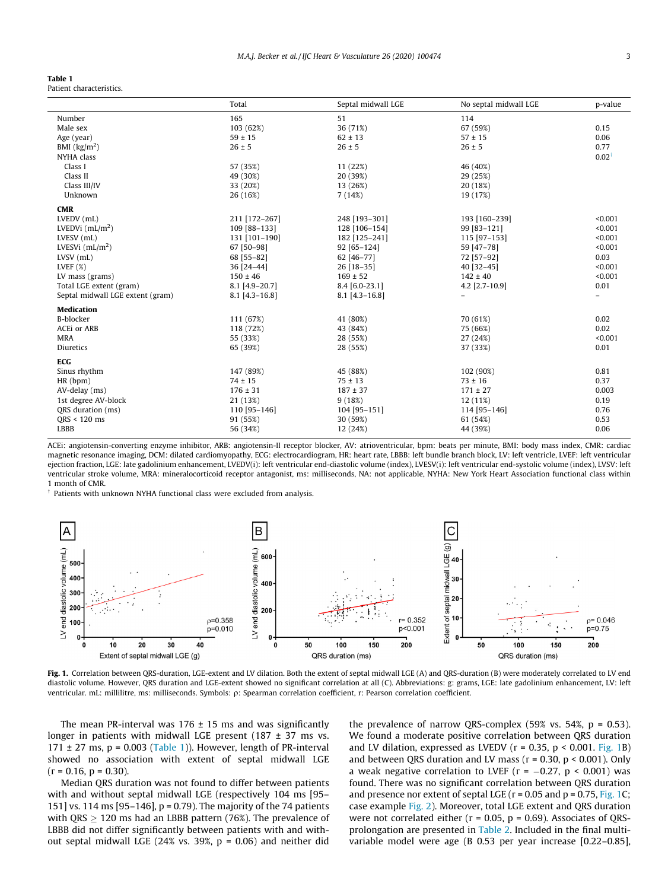#### <span id="page-2-0"></span>Table 1

Patient characteristics.

| Septal midwall LGE<br>Total                                                                          | No septal midwall LGE<br>p-value |
|------------------------------------------------------------------------------------------------------|----------------------------------|
| 165<br>51<br>114<br>Number                                                                           |                                  |
| 36 (71%)<br>Male sex<br>103 (62%)<br>67 (59%)                                                        | 0.15                             |
| $59 \pm 15$<br>$62 \pm 13$<br>$57 \pm 15$<br>Age (year)                                              | 0.06                             |
| BMI $\left(\frac{kg}{m^2}\right)$<br>$26 \pm 5$<br>$26 \pm 5$<br>$26 \pm 5$                          | 0.77                             |
| NYHA class                                                                                           | $0.02^{\dagger}$                 |
| Class I<br>57 (35%)<br>11 (22%)<br>46 (40%)                                                          |                                  |
| Class II<br>49 (30%)<br>20 (39%)<br>29 (25%)                                                         |                                  |
| Class III/IV<br>33 (20%)<br>20 (18%)<br>13 (26%)                                                     |                                  |
| Unknown<br>26 (16%)<br>19 (17%)<br>7(14%)                                                            |                                  |
| <b>CMR</b>                                                                                           |                                  |
| LVEDV (mL)<br>211 [172-267]<br>248 [193-301]<br>193 [160-239]                                        | < 0.001                          |
| LVEDVi $(mL/m2)$<br>109 [88-133]<br>128 [106-154]<br>99 [83-121]                                     | < 0.001                          |
| LVESV (mL)<br>131 [101-190]<br>182 [125-241]<br>115 [97-153]                                         | < 0.001                          |
| 67 [50-98]<br>LVESVi $(mL/m2)$<br>92 [65-124]<br>59 [47-78]                                          | < 0.001                          |
| $LVSV$ ( $mL$ )<br>68 [55-82]<br>62 [46-77]<br>72 [57-92]                                            | 0.03                             |
| LVEF $(X)$<br>36 [24-44]<br>26 [18-35]<br>40 [32-45]                                                 | < 0.001                          |
| LV mass (grams)<br>$150 \pm 46$<br>$169 \pm 52$<br>$142 \pm 40$                                      | < 0.001                          |
| 8.1 [4.9-20.7]<br>4.2 [2.7-10.9]<br>Total LGE extent (gram)<br>8.4 [6.0-23.1]                        | 0.01                             |
| Septal midwall LGE extent (gram)<br>$8.1$ [4.3-16.8]<br>$8.1$ [4.3-16.8]<br>$\overline{\phantom{a}}$ | $\overline{\phantom{a}}$         |
| <b>Medication</b>                                                                                    |                                  |
| B-blocker<br>111 (67%)<br>41 (80%)<br>70 (61%)                                                       | 0.02                             |
| ACEi or ARB<br>118 (72%)<br>43 (84%)<br>75 (66%)                                                     | 0.02                             |
| <b>MRA</b><br>55 (33%)<br>28 (55%)<br>27 (24%)                                                       | < 0.001                          |
| Diuretics<br>65 (39%)<br>28 (55%)<br>37 (33%)                                                        | 0.01                             |
| ECG                                                                                                  |                                  |
| 147 (89%)<br>45 (88%)<br>102 (90%)<br>Sinus rhythm                                                   | 0.81                             |
| HR(bpm)<br>$74 \pm 15$<br>$75 \pm 13$<br>$73 \pm 16$                                                 | 0.37                             |
| $176 \pm 31$<br>$187 \pm 37$<br>AV-delay (ms)<br>$171 \pm 27$                                        | 0.003                            |
| 1st degree AV-block<br>21 (13%)<br>9(18%)<br>12 (11%)                                                | 0.19                             |
| QRS duration (ms)<br>110 [95-146]<br>104 [95-151]<br>114 [95-146]                                    | 0.76                             |
| QRS < 120 ms<br>91 (55%)<br>30 (59%)<br>61 (54%)                                                     | 0.53                             |
| LBBB<br>56 (34%)<br>12 (24%)<br>44 (39%)                                                             | 0.06                             |

ACEi: angiotensin-converting enzyme inhibitor, ARB: angiotensin-II receptor blocker, AV: atrioventricular, bpm: beats per minute, BMI: body mass index, CMR: cardiac magnetic resonance imaging, DCM: dilated cardiomyopathy, ECG: electrocardiogram, HR: heart rate, LBBB: left bundle branch block, LV: left ventricle, LVEF: left ventricular ejection fraction, LGE: late gadolinium enhancement, LVEDV(i): left ventricular end-diastolic volume (index), LVESV(i): left ventricular end-systolic volume (index), LVSV: left ventricular stroke volume, MRA: mineralocorticoid receptor antagonist, ms: milliseconds, NA: not applicable, NYHA: New York Heart Association functional class within 1 month of CMR.

Patients with unknown NYHA functional class were excluded from analysis.



Fig. 1. Correlation between QRS-duration, LGE-extent and LV dilation. Both the extent of septal midwall LGE (A) and QRS-duration (B) were moderately correlated to LV end diastolic volume. However, QRS duration and LGE-extent showed no significant correlation at all (C). Abbreviations: g: grams, LGE: late gadolinium enhancement, LV: left ventricular. mL: millilitre, ms: milliseconds. Symbols: q: Spearman correlation coefficient, r: Pearson correlation coefficient.

The mean PR-interval was  $176 \pm 15$  ms and was significantly longer in patients with midwall LGE present (187 ± 37 ms vs.  $171 \pm 27$  ms, p = 0.003 (Table 1)). However, length of PR-interval showed no association with extent of septal midwall LGE  $(r = 0.16, p = 0.30)$ .

Median QRS duration was not found to differ between patients with and without septal midwall LGE (respectively 104 ms [95– 151] vs. 114 ms [95–146], p = 0.79). The majority of the 74 patients with QRS  $\geq$  120 ms had an LBBB pattern (76%). The prevalence of LBBB did not differ significantly between patients with and without septal midwall LGE (24% vs. 39%, p = 0.06) and neither did the prevalence of narrow QRS-complex (59% vs. 54%,  $p = 0.53$ ). We found a moderate positive correlation between QRS duration and LV dilation, expressed as LVEDV ( $r = 0.35$ ,  $p < 0.001$ . Fig. 1B) and between QRS duration and LV mass ( $r = 0.30$ ,  $p < 0.001$ ). Only a weak negative correlation to LVEF ( $r = -0.27$ ,  $p < 0.001$ ) was found. There was no significant correlation between QRS duration and presence nor extent of septal LGE ( $r = 0.05$  and  $p = 0.75$ , Fig. 1C; case example [Fig. 2\)](#page-3-0). Moreover, total LGE extent and QRS duration were not correlated either ( $r = 0.05$ ,  $p = 0.69$ ). Associates of QRSprolongation are presented in [Table 2.](#page-3-0) Included in the final multivariable model were age (B 0.53 per year increase [0.22–0.85],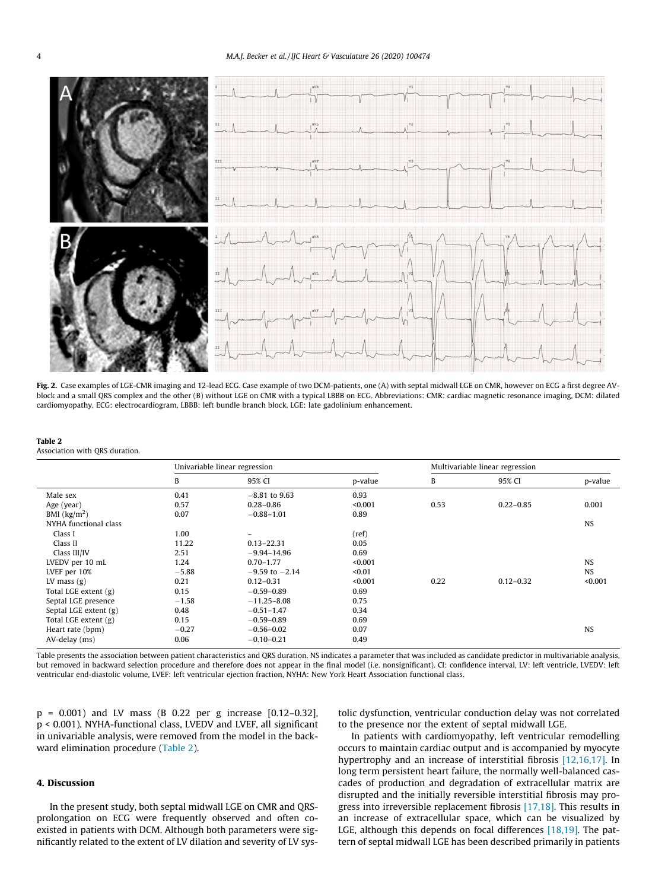<span id="page-3-0"></span>

Fig. 2. Case examples of LGE-CMR imaging and 12-lead ECG. Case example of two DCM-patients, one (A) with septal midwall LGE on CMR, however on ECG a first degree AVblock and a small QRS complex and the other (B) without LGE on CMR with a typical LBBB on ECG. Abbreviations: CMR: cardiac magnetic resonance imaging, DCM: dilated cardiomyopathy, ECG: electrocardiogram, LBBB: left bundle branch block, LGE: late gadolinium enhancement.

| Table 2                        |  |
|--------------------------------|--|
| Association with ORS duration. |  |

|                                   | Univariable linear regression |                    | Multivariable linear regression |      |               |           |
|-----------------------------------|-------------------------------|--------------------|---------------------------------|------|---------------|-----------|
|                                   | B                             | 95% CI             | p-value                         | B    | 95% CI        | p-value   |
| Male sex                          | 0.41                          | $-8.81$ to 9.63    | 0.93                            |      |               |           |
| Age (year)                        | 0.57                          | $0.28 - 0.86$      | < 0.001                         | 0.53 | $0.22 - 0.85$ | 0.001     |
| BMI $\left(\frac{kg}{m^2}\right)$ | 0.07                          | $-0.88 - 1.01$     | 0.89                            |      |               |           |
| NYHA functional class             |                               |                    |                                 |      |               | <b>NS</b> |
| Class I                           | 1.00                          | $\equiv$           | (ref)                           |      |               |           |
| Class II                          | 11.22                         | $0.13 - 22.31$     | 0.05                            |      |               |           |
| Class III/IV                      | 2.51                          | $-9.94 - 14.96$    | 0.69                            |      |               |           |
| LVEDV per 10 mL                   | 1.24                          | $0.70 - 1.77$      | < 0.001                         |      |               | <b>NS</b> |
| LVEF per 10%                      | $-5.88$                       | $-9.59$ to $-2.14$ | < 0.01                          |      |               | <b>NS</b> |
| LV mass $(g)$                     | 0.21                          | $0.12 - 0.31$      | < 0.001                         | 0.22 | $0.12 - 0.32$ | < 0.001   |
| Total LGE extent (g)              | 0.15                          | $-0.59 - 0.89$     | 0.69                            |      |               |           |
| Septal LGE presence               | $-1.58$                       | $-11.25 - 8.08$    | 0.75                            |      |               |           |
| Septal LGE extent (g)             | 0.48                          | $-0.51 - 1.47$     | 0.34                            |      |               |           |
| Total LGE extent (g)              | 0.15                          | $-0.59 - 0.89$     | 0.69                            |      |               |           |
| Heart rate (bpm)                  | $-0.27$                       | $-0.56 - 0.02$     | 0.07                            |      |               | <b>NS</b> |
| AV-delay (ms)                     | 0.06                          | $-0.10 - 0.21$     | 0.49                            |      |               |           |

Table presents the association between patient characteristics and QRS duration. NS indicates a parameter that was included as candidate predictor in multivariable analysis, but removed in backward selection procedure and therefore does not appear in the final model (i.e. nonsignificant). CI: confidence interval, LV: left ventricle, LVEDV: left ventricular end-diastolic volume, LVEF: left ventricular ejection fraction, NYHA: New York Heart Association functional class.

p = 0.001) and LV mass (B 0.22 per g increase [0.12–0.32], p < 0.001). NYHA-functional class, LVEDV and LVEF, all significant in univariable analysis, were removed from the model in the backward elimination procedure (Table 2).

# 4. Discussion

In the present study, both septal midwall LGE on CMR and QRSprolongation on ECG were frequently observed and often coexisted in patients with DCM. Although both parameters were significantly related to the extent of LV dilation and severity of LV systolic dysfunction, ventricular conduction delay was not correlated to the presence nor the extent of septal midwall LGE.

In patients with cardiomyopathy, left ventricular remodelling occurs to maintain cardiac output and is accompanied by myocyte hypertrophy and an increase of interstitial fibrosis [\[12,16,17\].](#page-5-0) In long term persistent heart failure, the normally well-balanced cascades of production and degradation of extracellular matrix are disrupted and the initially reversible interstitial fibrosis may progress into irreversible replacement fibrosis [\[17,18\]](#page-5-0). This results in an increase of extracellular space, which can be visualized by LGE, although this depends on focal differences [\[18,19\]](#page-5-0). The pattern of septal midwall LGE has been described primarily in patients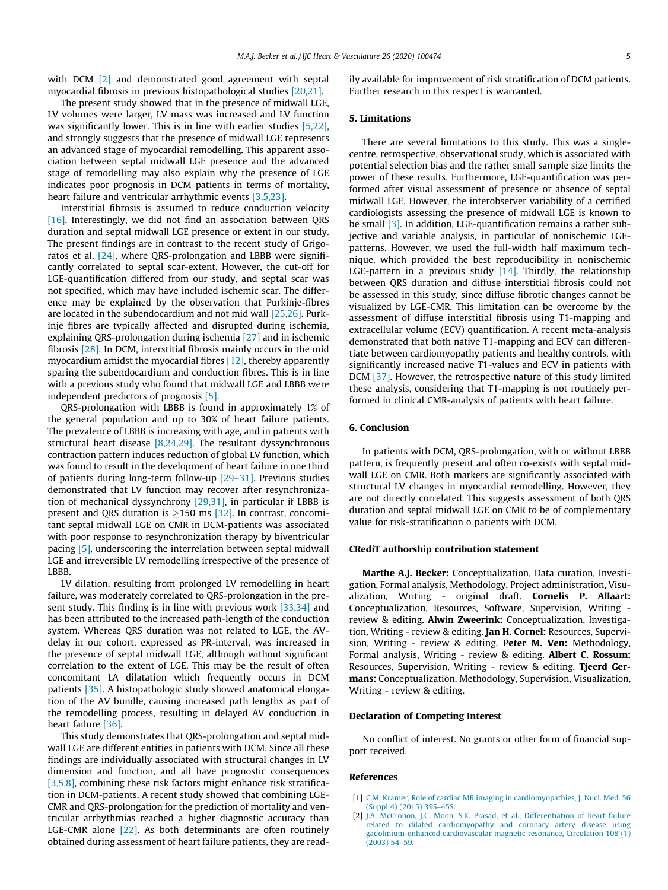<span id="page-4-0"></span>with DCM [2] and demonstrated good agreement with septal myocardial fibrosis in previous histopathological studies [\[20,21\].](#page-5-0)

The present study showed that in the presence of midwall LGE, LV volumes were larger, LV mass was increased and LV function was significantly lower. This is in line with earlier studies [\[5,22\],](#page-5-0) and strongly suggests that the presence of midwall LGE represents an advanced stage of myocardial remodelling. This apparent association between septal midwall LGE presence and the advanced stage of remodelling may also explain why the presence of LGE indicates poor prognosis in DCM patients in terms of mortality, heart failure and ventricular arrhythmic events [\[3,5,23\].](#page-5-0)

Interstitial fibrosis is assumed to reduce conduction velocity [\[16\].](#page-5-0) Interestingly, we did not find an association between QRS duration and septal midwall LGE presence or extent in our study. The present findings are in contrast to the recent study of Grigoratos et al. [\[24\],](#page-5-0) where QRS-prolongation and LBBB were significantly correlated to septal scar-extent. However, the cut-off for LGE-quantification differed from our study, and septal scar was not specified, which may have included ischemic scar. The difference may be explained by the observation that Purkinje-fibres are located in the subendocardium and not mid wall [\[25,26\].](#page-5-0) Purkinje fibres are typically affected and disrupted during ischemia, explaining QRS-prolongation during ischemia [\[27\]](#page-5-0) and in ischemic fibrosis [\[28\]](#page-5-0). In DCM, interstitial fibrosis mainly occurs in the mid myocardium amidst the myocardial fibres [\[12\],](#page-5-0) thereby apparently sparing the subendocardium and conduction fibres. This is in line with a previous study who found that midwall LGE and LBBB were independent predictors of prognosis [\[5\].](#page-5-0)

QRS-prolongation with LBBB is found in approximately 1% of the general population and up to 30% of heart failure patients. The prevalence of LBBB is increasing with age, and in patients with structural heart disease [\[8,24,29\].](#page-5-0) The resultant dyssynchronous contraction pattern induces reduction of global LV function, which was found to result in the development of heart failure in one third of patients during long-term follow-up [\[29–31\]](#page-5-0). Previous studies demonstrated that LV function may recover after resynchronization of mechanical dyssynchrony [\[29,31\]](#page-5-0), in particular if LBBB is present and QRS duration is  $>150$  ms [\[32\]](#page-5-0). In contrast, concomitant septal midwall LGE on CMR in DCM-patients was associated with poor response to resynchronization therapy by biventricular pacing [\[5\],](#page-5-0) underscoring the interrelation between septal midwall LGE and irreversible LV remodelling irrespective of the presence of **LBBB** 

LV dilation, resulting from prolonged LV remodelling in heart failure, was moderately correlated to QRS-prolongation in the present study. This finding is in line with previous work [\[33,34\]](#page-5-0) and has been attributed to the increased path-length of the conduction system. Whereas QRS duration was not related to LGE, the AVdelay in our cohort, expressed as PR-interval, was increased in the presence of septal midwall LGE, although without significant correlation to the extent of LGE. This may be the result of often concomitant LA dilatation which frequently occurs in DCM patients [\[35\]](#page-5-0). A histopathologic study showed anatomical elongation of the AV bundle, causing increased path lengths as part of the remodelling process, resulting in delayed AV conduction in heart failure [\[36\].](#page-5-0)

This study demonstrates that QRS-prolongation and septal midwall LGE are different entities in patients with DCM. Since all these findings are individually associated with structural changes in LV dimension and function, and all have prognostic consequences [\[3,5,8\],](#page-5-0) combining these risk factors might enhance risk stratification in DCM-patients. A recent study showed that combining LGE-CMR and QRS-prolongation for the prediction of mortality and ventricular arrhythmias reached a higher diagnostic accuracy than LGE-CMR alone [\[22\].](#page-5-0) As both determinants are often routinely obtained during assessment of heart failure patients, they are readily available for improvement of risk stratification of DCM patients. Further research in this respect is warranted.

### 5. Limitations

There are several limitations to this study. This was a singlecentre, retrospective, observational study, which is associated with potential selection bias and the rather small sample size limits the power of these results. Furthermore, LGE-quantification was performed after visual assessment of presence or absence of septal midwall LGE. However, the interobserver variability of a certified cardiologists assessing the presence of midwall LGE is known to be small [\[3\].](#page-5-0) In addition, LGE-quantification remains a rather subjective and variable analysis, in particular of nonischemic LGEpatterns. However, we used the full-width half maximum technique, which provided the best reproducibility in nonischemic LGE-pattern in a previous study  $[14]$ . Thirdly, the relationship between QRS duration and diffuse interstitial fibrosis could not be assessed in this study, since diffuse fibrotic changes cannot be visualized by LGE-CMR. This limitation can be overcome by the assessment of diffuse interstitial fibrosis using T1-mapping and extracellular volume (ECV) quantification. A recent meta-analysis demonstrated that both native T1-mapping and ECV can differentiate between cardiomyopathy patients and healthy controls, with significantly increased native T1-values and ECV in patients with DCM [\[37\]](#page-5-0). However, the retrospective nature of this study limited these analysis, considering that T1-mapping is not routinely performed in clinical CMR-analysis of patients with heart failure.

## 6. Conclusion

In patients with DCM, QRS-prolongation, with or without LBBB pattern, is frequently present and often co-exists with septal midwall LGE on CMR. Both markers are significantly associated with structural LV changes in myocardial remodelling. However, they are not directly correlated. This suggests assessment of both QRS duration and septal midwall LGE on CMR to be of complementary value for risk-stratification o patients with DCM.

### CRediT authorship contribution statement

Marthe A.J. Becker: Conceptualization, Data curation, Investigation, Formal analysis, Methodology, Project administration, Visualization, Writing - original draft. Cornelis P. Allaart: Conceptualization, Resources, Software, Supervision, Writing review & editing. Alwin Zweerink: Conceptualization, Investigation, Writing - review & editing. Jan H. Cornel: Resources, Supervision, Writing - review & editing. Peter M. Ven: Methodology, Formal analysis, Writing - review & editing. Albert C. Rossum: Resources, Supervision, Writing - review & editing. Tjeerd Germans: Conceptualization, Methodology, Supervision, Visualization, Writing - review & editing.

#### Declaration of Competing Interest

No conflict of interest. No grants or other form of financial support received.

## References

- [1] [C.M. Kramer, Role of cardiac MR imaging in cardiomyopathies, J. Nucl. Med. 56](http://refhub.elsevier.com/S2352-9067(20)30018-X/h0005) [\(Suppl 4\) \(2015\) 39S–45S.](http://refhub.elsevier.com/S2352-9067(20)30018-X/h0005)
- [2] [J.A. McCrohon, J.C. Moon, S.K. Prasad, et al., Differentiation of heart failure](http://refhub.elsevier.com/S2352-9067(20)30018-X/h0010) [related to dilated cardiomyopathy and coronary artery disease using](http://refhub.elsevier.com/S2352-9067(20)30018-X/h0010) [gadolinium-enhanced cardiovascular magnetic resonance, Circulation 108 \(1\)](http://refhub.elsevier.com/S2352-9067(20)30018-X/h0010) [\(2003\) 54–59.](http://refhub.elsevier.com/S2352-9067(20)30018-X/h0010)